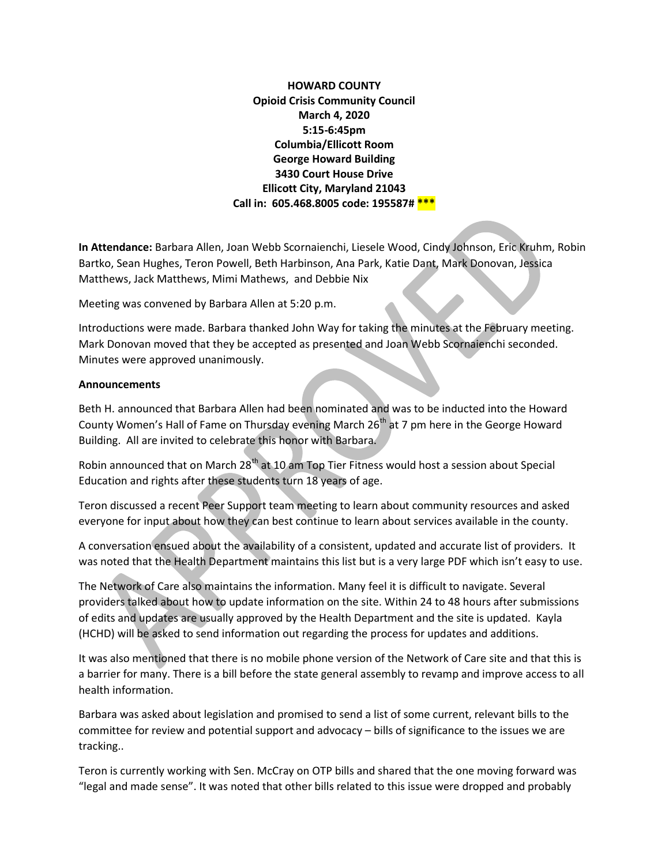HOWARD COUNTY Opioid Crisis Community Council March 4, 2020 5:15-6:45pm Columbia/Ellicott Room George Howard Building 3430 Court House Drive Ellicott City, Maryland 21043 Call in: 605.468.8005 code: 195587# \*\*\*

In Attendance: Barbara Allen, Joan Webb Scornaienchi, Liesele Wood, Cindy Johnson, Eric Kruhm, Robin Bartko, Sean Hughes, Teron Powell, Beth Harbinson, Ana Park, Katie Dant, Mark Donovan, Jessica Matthews, Jack Matthews, Mimi Mathews, and Debbie Nix

Meeting was convened by Barbara Allen at 5:20 p.m.

Introductions were made. Barbara thanked John Way for taking the minutes at the February meeting. Mark Donovan moved that they be accepted as presented and Joan Webb Scornaienchi seconded. Minutes were approved unanimously.

## **Announcements**

Beth H. announced that Barbara Allen had been nominated and was to be inducted into the Howard County Women's Hall of Fame on Thursday evening March 26<sup>th</sup> at 7 pm here in the George Howard Building. All are invited to celebrate this honor with Barbara.

Robin announced that on March 28<sup>th</sup> at 10 am Top Tier Fitness would host a session about Special Education and rights after these students turn 18 years of age.

Teron discussed a recent Peer Support team meeting to learn about community resources and asked everyone for input about how they can best continue to learn about services available in the county.

A conversation ensued about the availability of a consistent, updated and accurate list of providers. It was noted that the Health Department maintains this list but is a very large PDF which isn't easy to use.

The Network of Care also maintains the information. Many feel it is difficult to navigate. Several providers talked about how to update information on the site. Within 24 to 48 hours after submissions of edits and updates are usually approved by the Health Department and the site is updated. Kayla (HCHD) will be asked to send information out regarding the process for updates and additions.

It was also mentioned that there is no mobile phone version of the Network of Care site and that this is a barrier for many. There is a bill before the state general assembly to revamp and improve access to all health information.

Barbara was asked about legislation and promised to send a list of some current, relevant bills to the committee for review and potential support and advocacy – bills of significance to the issues we are tracking..

Teron is currently working with Sen. McCray on OTP bills and shared that the one moving forward was "legal and made sense". It was noted that other bills related to this issue were dropped and probably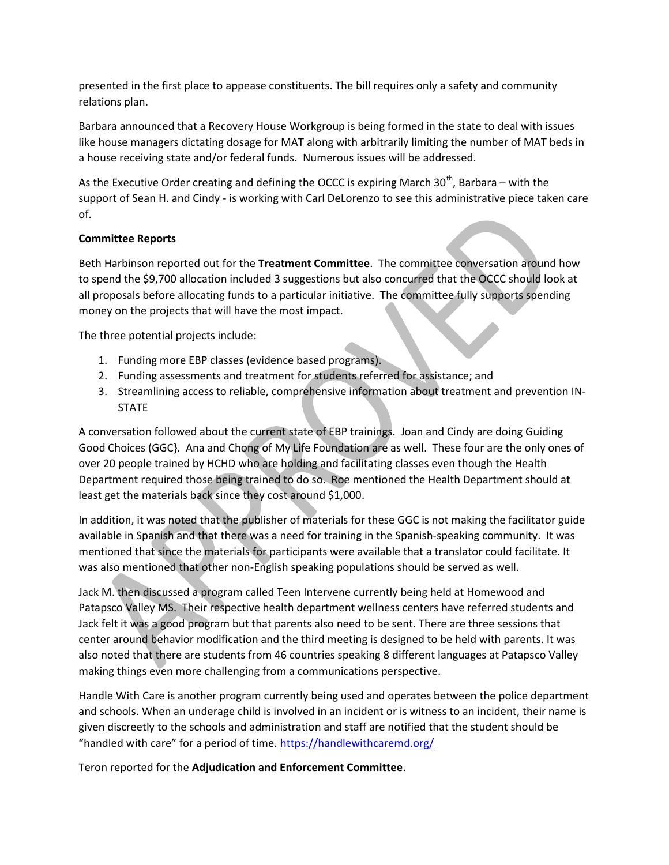presented in the first place to appease constituents. The bill requires only a safety and community relations plan.

Barbara announced that a Recovery House Workgroup is being formed in the state to deal with issues like house managers dictating dosage for MAT along with arbitrarily limiting the number of MAT beds in a house receiving state and/or federal funds. Numerous issues will be addressed.

As the Executive Order creating and defining the OCCC is expiring March  $30<sup>th</sup>$ , Barbara – with the support of Sean H. and Cindy - is working with Carl DeLorenzo to see this administrative piece taken care of.

## Committee Reports

Beth Harbinson reported out for the Treatment Committee. The committee conversation around how to spend the \$9,700 allocation included 3 suggestions but also concurred that the OCCC should look at all proposals before allocating funds to a particular initiative. The committee fully supports spending money on the projects that will have the most impact.

The three potential projects include:

- 1. Funding more EBP classes (evidence based programs).
- 2. Funding assessments and treatment for students referred for assistance; and
- 3. Streamlining access to reliable, comprehensive information about treatment and prevention IN-**STATE**

A conversation followed about the current state of EBP trainings. Joan and Cindy are doing Guiding Good Choices (GGC}. Ana and Chong of My Life Foundation are as well. These four are the only ones of over 20 people trained by HCHD who are holding and facilitating classes even though the Health Department required those being trained to do so. Roe mentioned the Health Department should at least get the materials back since they cost around \$1,000.

In addition, it was noted that the publisher of materials for these GGC is not making the facilitator guide available in Spanish and that there was a need for training in the Spanish-speaking community. It was mentioned that since the materials for participants were available that a translator could facilitate. It was also mentioned that other non-English speaking populations should be served as well.

Jack M. then discussed a program called Teen Intervene currently being held at Homewood and Patapsco Valley MS. Their respective health department wellness centers have referred students and Jack felt it was a good program but that parents also need to be sent. There are three sessions that center around behavior modification and the third meeting is designed to be held with parents. It was also noted that there are students from 46 countries speaking 8 different languages at Patapsco Valley making things even more challenging from a communications perspective.

Handle With Care is another program currently being used and operates between the police department and schools. When an underage child is involved in an incident or is witness to an incident, their name is given discreetly to the schools and administration and staff are notified that the student should be "handled with care" for a period of time. https://handlewithcaremd.org/

Teron reported for the Adjudication and Enforcement Committee.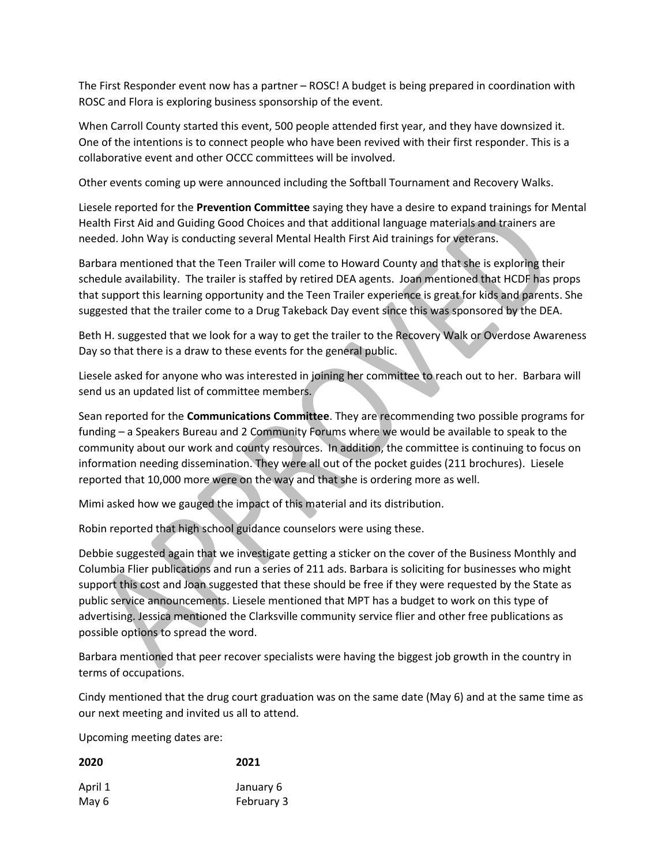The First Responder event now has a partner – ROSC! A budget is being prepared in coordination with ROSC and Flora is exploring business sponsorship of the event.

When Carroll County started this event, 500 people attended first year, and they have downsized it. One of the intentions is to connect people who have been revived with their first responder. This is a collaborative event and other OCCC committees will be involved.

Other events coming up were announced including the Softball Tournament and Recovery Walks.

Liesele reported for the Prevention Committee saying they have a desire to expand trainings for Mental Health First Aid and Guiding Good Choices and that additional language materials and trainers are needed. John Way is conducting several Mental Health First Aid trainings for veterans.

Barbara mentioned that the Teen Trailer will come to Howard County and that she is exploring their schedule availability. The trailer is staffed by retired DEA agents. Joan mentioned that HCDF has props that support this learning opportunity and the Teen Trailer experience is great for kids and parents. She suggested that the trailer come to a Drug Takeback Day event since this was sponsored by the DEA.

Beth H. suggested that we look for a way to get the trailer to the Recovery Walk or Overdose Awareness Day so that there is a draw to these events for the general public.

Liesele asked for anyone who was interested in joining her committee to reach out to her. Barbara will send us an updated list of committee members.

Sean reported for the Communications Committee. They are recommending two possible programs for funding – a Speakers Bureau and 2 Community Forums where we would be available to speak to the community about our work and county resources. In addition, the committee is continuing to focus on information needing dissemination. They were all out of the pocket guides (211 brochures). Liesele reported that 10,000 more were on the way and that she is ordering more as well.

Mimi asked how we gauged the impact of this material and its distribution.

Robin reported that high school guidance counselors were using these.

Debbie suggested again that we investigate getting a sticker on the cover of the Business Monthly and Columbia Flier publications and run a series of 211 ads. Barbara is soliciting for businesses who might support this cost and Joan suggested that these should be free if they were requested by the State as public service announcements. Liesele mentioned that MPT has a budget to work on this type of advertising. Jessica mentioned the Clarksville community service flier and other free publications as possible options to spread the word.

Barbara mentioned that peer recover specialists were having the biggest job growth in the country in terms of occupations.

Cindy mentioned that the drug court graduation was on the same date (May 6) and at the same time as our next meeting and invited us all to attend.

Upcoming meeting dates are:

| 2020    | 2021       |
|---------|------------|
| April 1 | January 6  |
| May 6   | February 3 |